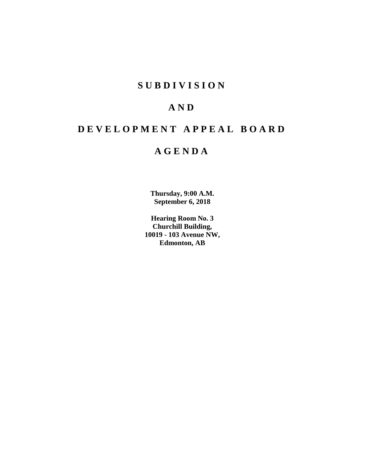# **SUBDIVISION**

# **AND**

# **DEVELOPMENT APPEAL BOARD**

# **AGENDA**

**Thursday, 9:00 A.M. September 6, 2018**

**Hearing Room No. 3 Churchill Building, 10019 - 103 Avenue NW, Edmonton, AB**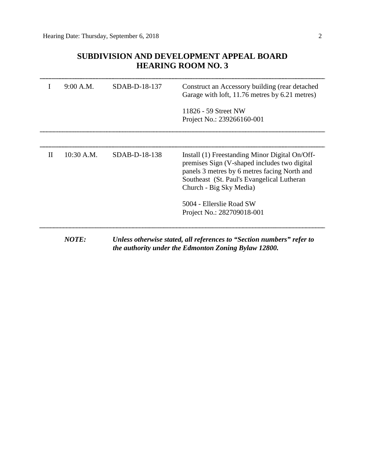# **SUBDIVISION AND DEVELOPMENT APPEAL BOARD HEARING ROOM NO. 3**

|   | 9:00 A.M.    | SDAB-D-18-137   | Construct an Accessory building (rear detached<br>Garage with loft, 11.76 metres by 6.21 metres)                                                                                                                         |
|---|--------------|-----------------|--------------------------------------------------------------------------------------------------------------------------------------------------------------------------------------------------------------------------|
|   |              |                 | 11826 - 59 Street NW<br>Project No.: 239266160-001                                                                                                                                                                       |
|   |              |                 |                                                                                                                                                                                                                          |
| H | 10:30 A.M.   | $SDAB-D-18-138$ | Install (1) Freestanding Minor Digital On/Off-<br>premises Sign (V-shaped includes two digital)<br>panels 3 metres by 6 metres facing North and<br>Southeast (St. Paul's Evangelical Lutheran<br>Church - Big Sky Media) |
|   |              |                 | 5004 - Ellerslie Road SW                                                                                                                                                                                                 |
|   |              |                 | Project No.: 282709018-001                                                                                                                                                                                               |
|   | <b>NOTE:</b> |                 | Unless otherwise stated, all references to "Section numbers" refer to<br>the authority under the Edmonton Zoning Bylaw 12800.                                                                                            |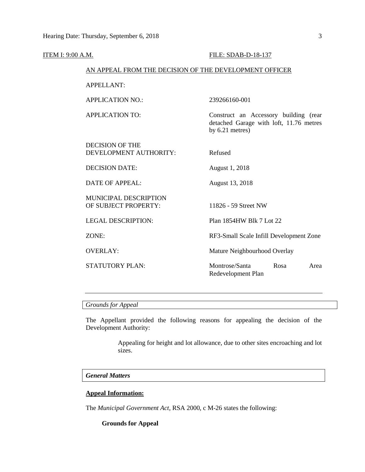| <b>ITEM I: 9:00 A.M.</b> |                                                        | FILE: SDAB-D-18-137                                                                                   |  |  |  |
|--------------------------|--------------------------------------------------------|-------------------------------------------------------------------------------------------------------|--|--|--|
|                          | AN APPEAL FROM THE DECISION OF THE DEVELOPMENT OFFICER |                                                                                                       |  |  |  |
|                          | <b>APPELLANT:</b>                                      |                                                                                                       |  |  |  |
|                          | <b>APPLICATION NO.:</b>                                | 239266160-001                                                                                         |  |  |  |
|                          | <b>APPLICATION TO:</b>                                 | Construct an Accessory building (rear<br>detached Garage with loft, 11.76 metres<br>by $6.21$ metres) |  |  |  |
|                          | <b>DECISION OF THE</b><br>DEVELOPMENT AUTHORITY:       | Refused                                                                                               |  |  |  |
|                          | <b>DECISION DATE:</b>                                  | August 1, 2018                                                                                        |  |  |  |
|                          | <b>DATE OF APPEAL:</b>                                 | August 13, 2018                                                                                       |  |  |  |
|                          | <b>MUNICIPAL DESCRIPTION</b><br>OF SUBJECT PROPERTY:   | 11826 - 59 Street NW                                                                                  |  |  |  |
|                          | <b>LEGAL DESCRIPTION:</b>                              | Plan 1854HW Blk 7 Lot 22                                                                              |  |  |  |
|                          | ZONE:                                                  | RF3-Small Scale Infill Development Zone                                                               |  |  |  |
|                          | <b>OVERLAY:</b>                                        | Mature Neighbourhood Overlay                                                                          |  |  |  |
|                          | <b>STATUTORY PLAN:</b>                                 | Montrose/Santa<br>Rosa<br>Area<br>Redevelopment Plan                                                  |  |  |  |
|                          |                                                        |                                                                                                       |  |  |  |

*Grounds for Appeal*

The Appellant provided the following reasons for appealing the decision of the Development Authority:

> Appealing for height and lot allowance, due to other sites encroaching and lot sizes.

# *General Matters*

# **Appeal Information:**

The *Municipal Government Act*, RSA 2000, c M-26 states the following:

**Grounds for Appeal**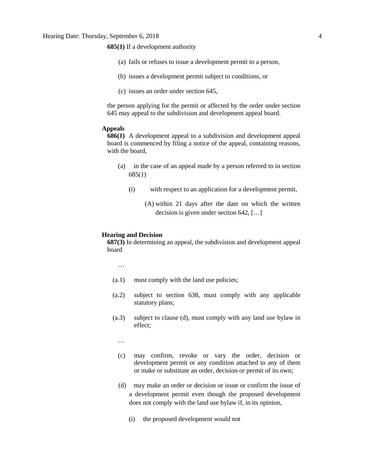**685(1)** If a development authority

- (a) fails or refuses to issue a development permit to a person,
- (b) issues a development permit subject to conditions, or
- (c) issues an order under section 645,

the person applying for the permit or affected by the order under section 645 may appeal to the subdivision and development appeal board.

### **Appeals**

**686(1)** A development appeal to a subdivision and development appeal board is commenced by filing a notice of the appeal, containing reasons, with the board,

- (a) in the case of an appeal made by a person referred to in section 685(1)
	- (i) with respect to an application for a development permit,

(A) within 21 days after the date on which the written decision is given under section 642, […]

#### **Hearing and Decision**

**687(3)** In determining an appeal, the subdivision and development appeal board

…

- (a.1) must comply with the land use policies;
- (a.2) subject to section 638, must comply with any applicable statutory plans;
- (a.3) subject to clause (d), must comply with any land use bylaw in effect;

…

- (c) may confirm, revoke or vary the order, decision or development permit or any condition attached to any of them or make or substitute an order, decision or permit of its own;
- (d) may make an order or decision or issue or confirm the issue of a development permit even though the proposed development does not comply with the land use bylaw if, in its opinion,
	- (i) the proposed development would not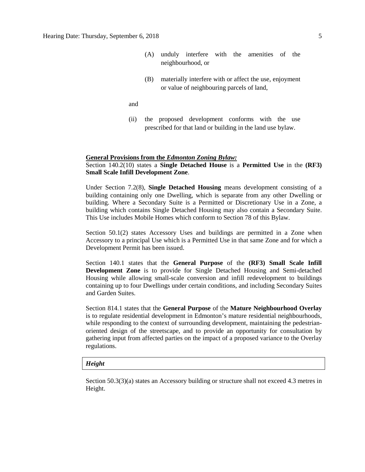- (A) unduly interfere with the amenities of the neighbourhood, or
- (B) materially interfere with or affect the use, enjoyment or value of neighbouring parcels of land,

and

(ii) the proposed development conforms with the use prescribed for that land or building in the land use bylaw.

# **General Provisions from the** *Edmonton Zoning Bylaw:*

# Section 140.2(10) states a **Single Detached House** is a **Permitted Use** in the **(RF3) Small Scale Infill Development Zone**.

Under Section 7.2(8), **Single Detached Housing** means development consisting of a building containing only one Dwelling, which is separate from any other Dwelling or building. Where a Secondary Suite is a Permitted or Discretionary Use in a Zone, a building which contains Single Detached Housing may also contain a Secondary Suite. This Use includes Mobile Homes which conform to Section 78 of this Bylaw.

Section 50.1(2) states Accessory Uses and buildings are permitted in a Zone when Accessory to a principal Use which is a Permitted Use in that same Zone and for which a Development Permit has been issued.

Section 140.1 states that the **General Purpose** of the **(RF3) Small Scale Infill Development Zone** is to provide for Single Detached Housing and Semi-detached Housing while allowing small-scale conversion and infill redevelopment to buildings containing up to four Dwellings under certain conditions, and including Secondary Suites and Garden Suites.

Section 814.1 states that the **General Purpose** of the **Mature Neighbourhood Overlay**  is to regulate residential development in Edmonton's mature residential neighbourhoods, while responding to the context of surrounding development, maintaining the pedestrianoriented design of the streetscape, and to provide an opportunity for consultation by gathering input from affected parties on the impact of a proposed variance to the Overlay regulations.

## *Height*

Section 50.3(3)(a) states an Accessory building or structure shall not exceed 4.3 metres in Height.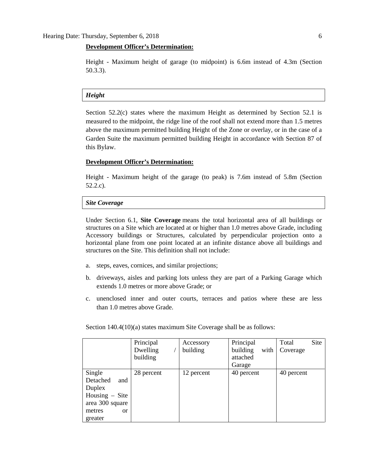## **Development Officer's Determination:**

Height - Maximum height of garage (to midpoint) is 6.6m instead of 4.3m (Section 50.3.3).

### *Height*

Section 52.2(c) states where the maximum Height as determined by Section 52.1 is measured to the midpoint, the ridge line of the roof shall not extend more than 1.5 metres above the maximum permitted building Height of the Zone or overlay, or in the case of a Garden Suite the maximum permitted building Height in accordance with Section 87 of this Bylaw.

## **Development Officer's Determination:**

Height - Maximum height of the garage (to peak) is 7.6m instead of 5.8m (Section 52.2.c).

#### *Site Coverage*

Under Section 6.1, **Site Coverage** means the total horizontal area of all buildings or structures on a Site which are located at or higher than 1.0 metres above Grade, including Accessory buildings or Structures, calculated by perpendicular projection onto a horizontal plane from one point located at an infinite distance above all buildings and structures on the Site. This definition shall not include:

- a. steps, eaves, cornices, and similar projections;
- b. driveways, aisles and parking lots unless they are part of a Parking Garage which extends [1.0](javascript:void(0);) metres or more above Grade; or
- c. unenclosed inner and outer courts, terraces and patios where these are less than [1.0](javascript:void(0);) metres above Grade.

Section 140.4(10)(a) states maximum Site Coverage shall be as follows:

|                          | Principal  | Accessory  | Principal        | Site<br>Total |
|--------------------------|------------|------------|------------------|---------------|
|                          | Dwelling   | building   | building<br>with | Coverage      |
|                          | building   |            | attached         |               |
|                          |            |            | Garage           |               |
| Single                   | 28 percent | 12 percent | 40 percent       | 40 percent    |
| Detached<br>and          |            |            |                  |               |
| Duplex                   |            |            |                  |               |
| Housing $-$ Site         |            |            |                  |               |
| area 300 square          |            |            |                  |               |
| metres<br><sub>O</sub> r |            |            |                  |               |
| greater                  |            |            |                  |               |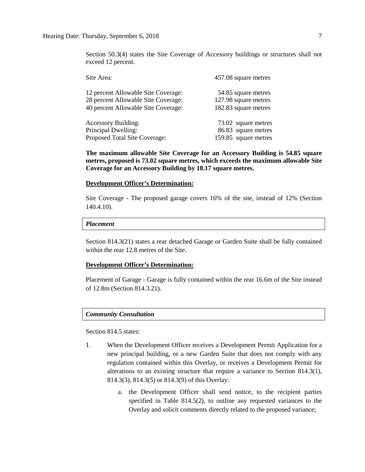Section 50.3(4) states the Site Coverage of Accessory buildings or structures shall not exceed 12 percent.

| Site Area:                          | 457.08 square metres |
|-------------------------------------|----------------------|
| 12 percent Allowable Site Coverage: | 54.85 square metres  |
| 28 percent Allowable Site Coverage: | 127.98 square metres |
| 40 percent Allowable Site Coverage: | 182.83 square metres |
| <b>Accessory Building:</b>          | 73.02 square metres  |
| Principal Dwelling:                 | 86.83 square metres  |
| Proposed Total Site Coverage:       | 159.85 square metres |

**The maximum allowable Site Coverage for an Accessory Building is 54.85 square metres, proposed is 73.02 square metres, which exceeds the maximum allowable Site Coverage for an Accessory Building by 18.17 square metres.**

# **Development Officer's Determination:**

Site Coverage - The proposed garage covers 16% of the site, instead of 12% (Section 140.4.10).

### *Placement*

Section 814.3(21) states a rear detached Garage or Garden Suite shall be fully contained within the rear 12.8 metres of the Site.

## **Development Officer's Determination:**

Placement of Garage - Garage is fully contained within the rear 16.6m of the Site instead of 12.8m (Section 814.3.21).

## *Community Consultation*

Section 814.5 states:

- 1. When the Development Officer receives a Development Permit Application for a new principal building, or a new Garden Suite that does not comply with any regulation contained within this Overlay, or receives a Development Permit for alterations to an existing structure that require a variance to Section 814.3(1), 814.3(3), 814.3(5) or 814.3(9) of this Overlay:
	- a. the Development Officer shall send notice, to the recipient parties specified in Table 814.5(2), to outline any requested variances to the Overlay and solicit comments directly related to the proposed variance;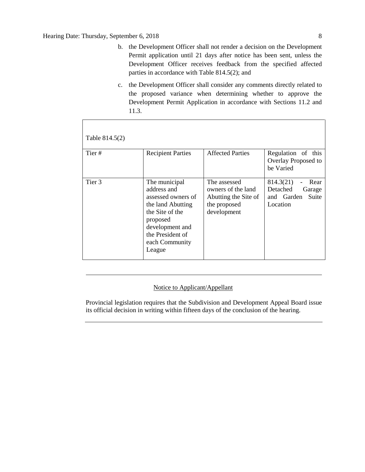- b. the Development Officer shall not render a decision on the Development Permit application until 21 days after notice has been sent, unless the Development Officer receives feedback from the specified affected parties in accordance with Table 814.5(2); and
- c. the Development Officer shall consider any comments directly related to the proposed variance when determining whether to approve the Development Permit Application in accordance with Sections 11.2 and 11.3.

| Table 814.5(2) |                                                                                                                                                                           |                                                                                           |                                                                            |
|----------------|---------------------------------------------------------------------------------------------------------------------------------------------------------------------------|-------------------------------------------------------------------------------------------|----------------------------------------------------------------------------|
| Tier#          | <b>Recipient Parties</b>                                                                                                                                                  | <b>Affected Parties</b>                                                                   | Regulation of this<br>Overlay Proposed to<br>be Varied                     |
| Tier 3         | The municipal<br>address and<br>assessed owners of<br>the land Abutting<br>the Site of the<br>proposed<br>development and<br>the President of<br>each Community<br>League | The assessed<br>owners of the land<br>Abutting the Site of<br>the proposed<br>development | 814.3(21)<br>Rear<br>Detached<br>Garage<br>and Garden<br>Suite<br>Location |

# Notice to Applicant/Appellant

Provincial legislation requires that the Subdivision and Development Appeal Board issue its official decision in writing within fifteen days of the conclusion of the hearing.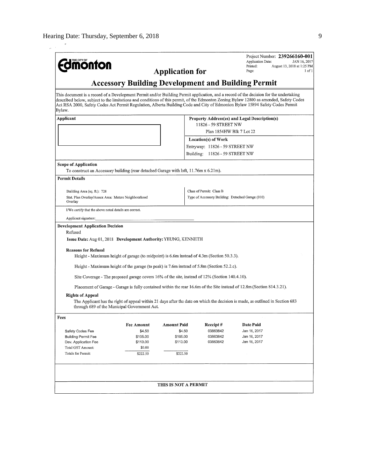| <b>Edimonton</b>                                                                                                                                                                                                                                                                                                                                                                                                           |                                                                                                                                                                               | <b>Application for</b> |                                                   | Application Date:<br>Printed:<br>Page:        | Project Number: 239266160-001<br>JAN 16, 2017<br>August 13, 2018 at 1:25 PM<br>1 of 1 |
|----------------------------------------------------------------------------------------------------------------------------------------------------------------------------------------------------------------------------------------------------------------------------------------------------------------------------------------------------------------------------------------------------------------------------|-------------------------------------------------------------------------------------------------------------------------------------------------------------------------------|------------------------|---------------------------------------------------|-----------------------------------------------|---------------------------------------------------------------------------------------|
|                                                                                                                                                                                                                                                                                                                                                                                                                            | <b>Accessory Building Development and Building Permit</b>                                                                                                                     |                        |                                                   |                                               |                                                                                       |
| This document is a record of a Development Permit and/or Building Permit application, and a record of the decision for the undertaking<br>described below, subject to the limitations and conditions of this permit, of the Edmonton Zoning Bylaw 12800 as amended, Safety Codes<br>Act RSA 2000, Safety Codes Act Permit Regulation, Alberta Building Code and City of Edmonton Bylaw 15894 Safety Codes Permit<br>Bylaw. |                                                                                                                                                                               |                        |                                                   |                                               |                                                                                       |
| Applicant                                                                                                                                                                                                                                                                                                                                                                                                                  |                                                                                                                                                                               |                        |                                                   | Property Address(es) and Legal Description(s) |                                                                                       |
|                                                                                                                                                                                                                                                                                                                                                                                                                            |                                                                                                                                                                               |                        | 11826 - 59 STREET NW                              |                                               |                                                                                       |
|                                                                                                                                                                                                                                                                                                                                                                                                                            |                                                                                                                                                                               |                        | Plan 1854HW Blk 7 Lot 22                          |                                               |                                                                                       |
|                                                                                                                                                                                                                                                                                                                                                                                                                            |                                                                                                                                                                               |                        | Location(s) of Work                               |                                               |                                                                                       |
|                                                                                                                                                                                                                                                                                                                                                                                                                            |                                                                                                                                                                               |                        | Entryway: 11826 - 59 STREET NW                    |                                               |                                                                                       |
|                                                                                                                                                                                                                                                                                                                                                                                                                            |                                                                                                                                                                               |                        | Building: 11826 - 59 STREET NW                    |                                               |                                                                                       |
| <b>Scope of Application</b><br>To construct an Accessory building (rear detached Garage with loft, 11.76m x 6.21m).                                                                                                                                                                                                                                                                                                        |                                                                                                                                                                               |                        |                                                   |                                               |                                                                                       |
| <b>Permit Details</b>                                                                                                                                                                                                                                                                                                                                                                                                      |                                                                                                                                                                               |                        |                                                   |                                               |                                                                                       |
|                                                                                                                                                                                                                                                                                                                                                                                                                            |                                                                                                                                                                               |                        |                                                   |                                               |                                                                                       |
| Building Area (sq. ft.): 728                                                                                                                                                                                                                                                                                                                                                                                               |                                                                                                                                                                               |                        | Class of Permit: Class B                          |                                               |                                                                                       |
| Stat. Plan Overlay/Annex Area: Mature Neighbourhood<br>Overlay                                                                                                                                                                                                                                                                                                                                                             |                                                                                                                                                                               |                        | Type of Accessory Building: Detached Garage (010) |                                               |                                                                                       |
| I/We certify that the above noted details are correct.                                                                                                                                                                                                                                                                                                                                                                     |                                                                                                                                                                               |                        |                                                   |                                               |                                                                                       |
| Applicant signature:                                                                                                                                                                                                                                                                                                                                                                                                       |                                                                                                                                                                               |                        |                                                   |                                               |                                                                                       |
| <b>Development Application Decision</b><br>Refused<br>Issue Date: Aug 01, 2018 Development Authority: YEUNG, KENNETH                                                                                                                                                                                                                                                                                                       |                                                                                                                                                                               |                        |                                                   |                                               |                                                                                       |
|                                                                                                                                                                                                                                                                                                                                                                                                                            |                                                                                                                                                                               |                        |                                                   |                                               |                                                                                       |
| <b>Reasons for Refusal</b>                                                                                                                                                                                                                                                                                                                                                                                                 | Height - Maximum height of garage (to midpoint) is 6.6m instead of 4.3m (Section 50.3.3).                                                                                     |                        |                                                   |                                               |                                                                                       |
|                                                                                                                                                                                                                                                                                                                                                                                                                            |                                                                                                                                                                               |                        |                                                   |                                               |                                                                                       |
|                                                                                                                                                                                                                                                                                                                                                                                                                            | Height - Maximum height of the garage (to peak) is 7.6m instead of 5.8m (Section 52.2.c).                                                                                     |                        |                                                   |                                               |                                                                                       |
|                                                                                                                                                                                                                                                                                                                                                                                                                            | Site Coverage - The proposed garage covers 16% of the site, instead of 12% (Section 140.4.10).                                                                                |                        |                                                   |                                               |                                                                                       |
|                                                                                                                                                                                                                                                                                                                                                                                                                            | Placement of Garage - Garage is fully contained within the rear 16.6m of the Site instead of 12.8m (Section 814.3.21).                                                        |                        |                                                   |                                               |                                                                                       |
|                                                                                                                                                                                                                                                                                                                                                                                                                            |                                                                                                                                                                               |                        |                                                   |                                               |                                                                                       |
| <b>Rights of Appeal</b>                                                                                                                                                                                                                                                                                                                                                                                                    | The Applicant has the right of appeal within 21 days after the date on which the decision is made, as outlined in Section 683<br>through 689 of the Municipal Government Act. |                        |                                                   |                                               |                                                                                       |
| Fees                                                                                                                                                                                                                                                                                                                                                                                                                       |                                                                                                                                                                               |                        |                                                   |                                               |                                                                                       |
|                                                                                                                                                                                                                                                                                                                                                                                                                            | <b>Fee Amount</b>                                                                                                                                                             | <b>Amount Paid</b>     | Receipt#                                          | Date Paid                                     |                                                                                       |
| Safety Codes Fee                                                                                                                                                                                                                                                                                                                                                                                                           | \$4.50                                                                                                                                                                        | \$4.50                 | 03863842                                          | Jan 16, 2017                                  |                                                                                       |
| <b>Building Permit Fee</b>                                                                                                                                                                                                                                                                                                                                                                                                 | \$105.00                                                                                                                                                                      | \$105.00               | 03863842                                          | Jan 16, 2017                                  |                                                                                       |
| Dev. Application Fee                                                                                                                                                                                                                                                                                                                                                                                                       | \$113.00<br>\$0.00                                                                                                                                                            | \$113.00               | 03863842                                          | Jan 16, 2017                                  |                                                                                       |
| Total GST Amount:<br>Totals for Permit:                                                                                                                                                                                                                                                                                                                                                                                    | \$222.50                                                                                                                                                                      | \$222.50               |                                                   |                                               |                                                                                       |
|                                                                                                                                                                                                                                                                                                                                                                                                                            |                                                                                                                                                                               |                        |                                                   |                                               |                                                                                       |
|                                                                                                                                                                                                                                                                                                                                                                                                                            |                                                                                                                                                                               |                        |                                                   |                                               |                                                                                       |
|                                                                                                                                                                                                                                                                                                                                                                                                                            |                                                                                                                                                                               |                        |                                                   |                                               |                                                                                       |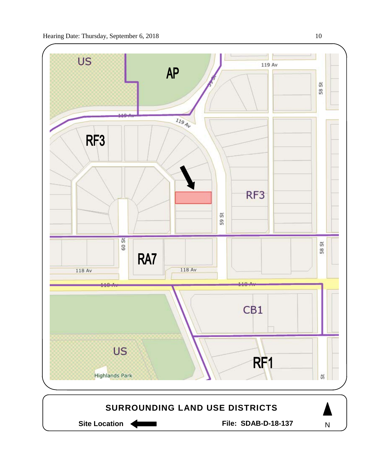



N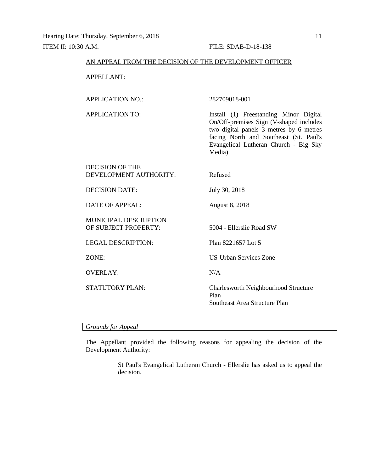## AN APPEAL FROM THE DECISION OF THE DEVELOPMENT OFFICER

APPELLANT:

# APPLICATION NO.: 282709018-001

APPLICATION TO: Install (1) Freestanding Minor Digital On/Off-premises Sign (V-shaped includes two digital panels 3 metres by 6 metres facing North and Southeast (St. Paul's Evangelical Lutheran Church - Big Sky Media)

| DECISION OF THE<br>DEVELOPMENT AUTHORITY:            | Refused                                                                       |
|------------------------------------------------------|-------------------------------------------------------------------------------|
| <b>DECISION DATE:</b>                                | July 30, 2018                                                                 |
| DATE OF APPEAL:                                      | <b>August 8, 2018</b>                                                         |
| <b>MUNICIPAL DESCRIPTION</b><br>OF SUBJECT PROPERTY: | 5004 - Ellerslie Road SW                                                      |
| <b>LEGAL DESCRIPTION:</b>                            | Plan 8221657 Lot 5                                                            |
| ZONE:                                                | <b>US-Urban Services Zone</b>                                                 |
| <b>OVERLAY:</b>                                      | N/A                                                                           |
| STATUTORY PLAN:                                      | Charlesworth Neighbourhood Structure<br>Plan<br>Southeast Area Structure Plan |

*Grounds for Appeal*

The Appellant provided the following reasons for appealing the decision of the Development Authority:

> St Paul's Evangelical Lutheran Church - Ellerslie has asked us to appeal the decision.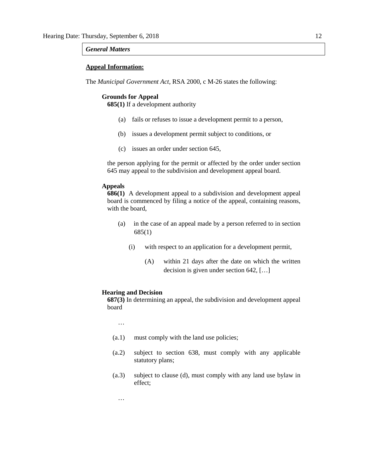## *General Matters*

## **Appeal Information:**

The *Municipal Government Act*, RSA 2000, c M-26 states the following:

#### **Grounds for Appeal**

**685(1)** If a development authority

- (a) fails or refuses to issue a development permit to a person,
- (b) issues a development permit subject to conditions, or
- (c) issues an order under section 645,

the person applying for the permit or affected by the order under section 645 may appeal to the subdivision and development appeal board.

## **Appeals**

**686(1)** A development appeal to a subdivision and development appeal board is commenced by filing a notice of the appeal, containing reasons, with the board,

- (a) in the case of an appeal made by a person referred to in section 685(1)
	- (i) with respect to an application for a development permit,
		- (A) within 21 days after the date on which the written decision is given under section 642, […]

#### **Hearing and Decision**

**687(3)** In determining an appeal, the subdivision and development appeal board

…

…

- (a.1) must comply with the land use policies;
- (a.2) subject to section 638, must comply with any applicable statutory plans;
- (a.3) subject to clause (d), must comply with any land use bylaw in effect;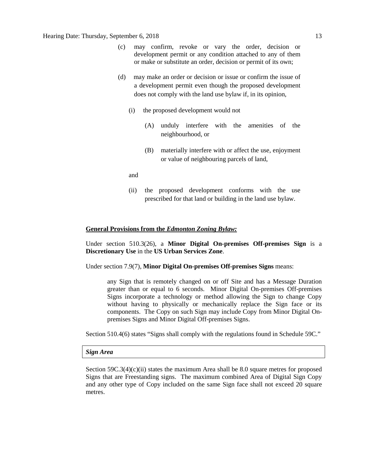- (c) may confirm, revoke or vary the order, decision or development permit or any condition attached to any of them or make or substitute an order, decision or permit of its own;
- (d) may make an order or decision or issue or confirm the issue of a development permit even though the proposed development does not comply with the land use bylaw if, in its opinion,
	- (i) the proposed development would not
		- (A) unduly interfere with the amenities of the neighbourhood, or
		- (B) materially interfere with or affect the use, enjoyment or value of neighbouring parcels of land,

and

(ii) the proposed development conforms with the use prescribed for that land or building in the land use bylaw.

## **General Provisions from the** *Edmonton Zoning Bylaw:*

Under section 510.3(26), a **Minor Digital On-premises Off-premises Sign** is a **Discretionary Use** in the **US Urban Services Zone**.

Under section 7.9(7), **Minor Digital On-premises Off-premises Signs** means:

any Sign that is remotely changed on or off Site and has a Message Duration greater than or equal to 6 seconds. Minor Digital On-premises Off-premises Signs incorporate a technology or method allowing the Sign to change Copy without having to physically or mechanically replace the Sign face or its components. The Copy on such Sign may include Copy from Minor Digital Onpremises Signs and Minor Digital Off-premises Signs.

Section 510.4(6) states "Signs shall comply with the regulations found in Schedule 59C."

#### *Sign Area*

Section  $59C.3(4)(c)(ii)$  states the maximum Area shall be 8.0 square metres for proposed Signs that are Freestanding signs. The maximum combined Area of Digital Sign Copy and any other type of Copy included on the same Sign face shall not exceed 20 square metres.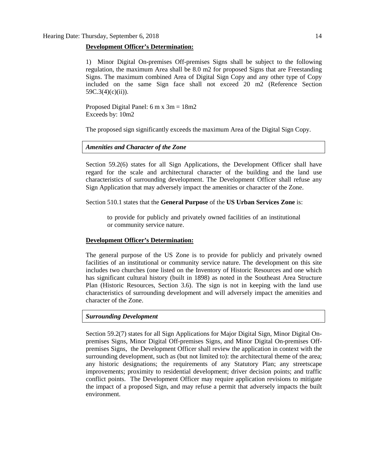## **Development Officer's Determination:**

1) Minor Digital On-premises Off-premises Signs shall be subject to the following regulation, the maximum Area shall be 8.0 m2 for proposed Signs that are Freestanding Signs. The maximum combined Area of Digital Sign Copy and any other type of Copy included on the same Sign face shall not exceed 20 m2 (Reference Section 59C.3(4)(c)(ii)).

Proposed Digital Panel: 6 m x 3m = 18m2 Exceeds by: 10m2

The proposed sign significantly exceeds the maximum Area of the Digital Sign Copy.

## *Amenities and Character of the Zone*

Section 59.2(6) states for all Sign Applications, the Development Officer shall have regard for the scale and architectural character of the building and the land use characteristics of surrounding development. The Development Officer shall refuse any Sign Application that may adversely impact the amenities or character of the Zone.

Section 510.1 states that the **General Purpose** of the **US Urban Services Zone** is:

to provide for publicly and privately owned facilities of an institutional or community service nature.

### **Development Officer's Determination:**

The general purpose of the US Zone is to provide for publicly and privately owned facilities of an institutional or community service nature. The development on this site includes two churches (one listed on the Inventory of Historic Resources and one which has significant cultural history (built in 1898) as noted in the Southeast Area Structure Plan (Historic Resources, Section 3.6). The sign is not in keeping with the land use characteristics of surrounding development and will adversely impact the amenities and character of the Zone.

## *Surrounding Development*

Section 59.2(7) states for all Sign Applications for Major Digital Sign, Minor Digital Onpremises Signs, Minor Digital Off-premises Signs, and Minor Digital On-premises Offpremises Signs, the Development Officer shall review the application in context with the surrounding development, such as (but not limited to): the architectural theme of the area; any historic designations; the requirements of any Statutory Plan; any streetscape improvements; proximity to residential development; driver decision points; and traffic conflict points. The Development Officer may require application revisions to mitigate the impact of a proposed Sign, and may refuse a permit that adversely impacts the built environment.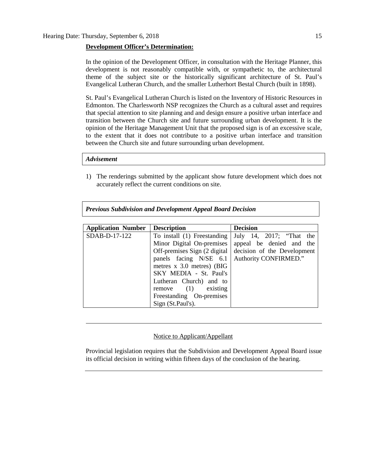## **Development Officer's Determination:**

In the opinion of the Development Officer, in consultation with the Heritage Planner, this development is not reasonably compatible with, or sympathetic to, the architectural theme of the subject site or the historically significant architecture of St. Paul's Evangelical Lutheran Church, and the smaller Lutherhort Bestal Church (built in 1898).

St. Paul's Evangelical Lutheran Church is listed on the Inventory of Historic Resources in Edmonton. The Charlesworth NSP recognizes the Church as a cultural asset and requires that special attention to site planning and and design ensure a positive urban interface and transition between the Church site and future surrounding urban development. It is the opinion of the Heritage Management Unit that the proposed sign is of an excessive scale, to the extent that it does not contribute to a positive urban interface and transition between the Church site and future surrounding urban development.

#### *Advisement*

1) The renderings submitted by the applicant show future development which does not accurately reflect the current conditions on site.

| <b>Application Number</b> | <b>Description</b>                      | <b>Decision</b>             |  |  |  |
|---------------------------|-----------------------------------------|-----------------------------|--|--|--|
| SDAB-D-17-122             | To install (1) Freestanding             | July 14, 2017; "That the    |  |  |  |
|                           | Minor Digital On-premises               | appeal be denied and the    |  |  |  |
|                           | Off-premises Sign $(2 \text{ digital})$ | decision of the Development |  |  |  |
|                           | panels facing N/SE 6.1                  | Authority CONFIRMED."       |  |  |  |
|                           | metres $x$ 3.0 metres) (BIG             |                             |  |  |  |
|                           | SKY MEDIA - St. Paul's                  |                             |  |  |  |
|                           | Lutheran Church) and to                 |                             |  |  |  |
|                           | $remove$ (1)<br>existing                |                             |  |  |  |
|                           | Freestanding On-premises                |                             |  |  |  |
|                           | Sign (St.Paul's).                       |                             |  |  |  |

### Notice to Applicant/Appellant

Provincial legislation requires that the Subdivision and Development Appeal Board issue its official decision in writing within fifteen days of the conclusion of the hearing.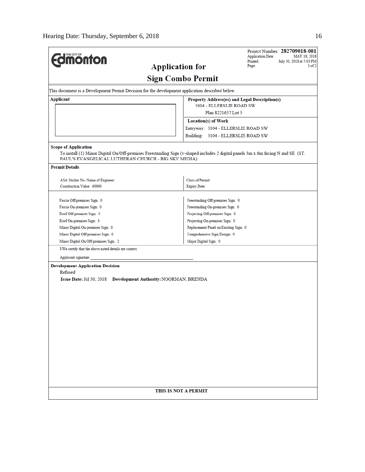| <b><i><u><u><b>M</b>onton</u></u></i></b>                                                                                                                                                                              |                                               | Project Number: 282709018-001<br><b>Application Date:</b><br>MAY 18, 2018<br>Printed:<br>July 30, 2018 at 5:03 PM |  |  |
|------------------------------------------------------------------------------------------------------------------------------------------------------------------------------------------------------------------------|-----------------------------------------------|-------------------------------------------------------------------------------------------------------------------|--|--|
| <b>Application for</b>                                                                                                                                                                                                 | Page:<br>1 of 2                               |                                                                                                                   |  |  |
|                                                                                                                                                                                                                        | <b>Sign Combo Permit</b>                      |                                                                                                                   |  |  |
| This document is a Development Permit Decision for the development application described below.                                                                                                                        |                                               |                                                                                                                   |  |  |
| <b>Applicant</b>                                                                                                                                                                                                       | Property Address(es) and Legal Description(s) |                                                                                                                   |  |  |
|                                                                                                                                                                                                                        | 5004 - ELLERSLIE ROAD SW                      |                                                                                                                   |  |  |
|                                                                                                                                                                                                                        | Plan 8221657 Lot 5                            |                                                                                                                   |  |  |
|                                                                                                                                                                                                                        | <b>Location(s)</b> of Work                    |                                                                                                                   |  |  |
|                                                                                                                                                                                                                        | Entryway: 5104 - ELLERSLIE ROAD SW            |                                                                                                                   |  |  |
|                                                                                                                                                                                                                        | Building: 5104 - ELLERSLIE ROAD SW            |                                                                                                                   |  |  |
| <b>Scope of Application</b><br>To install (1) Minor Digital On/Off-premises Freestanding Sign (v-shaped includes 2 digital panels 3m x 6m facing N and SE (ST.<br>PAUL'S EVANGELICAL LUTHERAN CHURCH - BIG SKY MEDIA). |                                               |                                                                                                                   |  |  |
| <b>Permit Details</b>                                                                                                                                                                                                  |                                               |                                                                                                                   |  |  |
| ASA Sticker No./Name of Engineer:                                                                                                                                                                                      | <b>Class of Permit:</b>                       |                                                                                                                   |  |  |
| Construction Value: 60000                                                                                                                                                                                              | <b>Expiry Date:</b>                           |                                                                                                                   |  |  |
|                                                                                                                                                                                                                        |                                               |                                                                                                                   |  |  |
| Fascia Off-premises Sign: 0                                                                                                                                                                                            | Freestanding Off-premises Sign: 0             |                                                                                                                   |  |  |
| Fascia On-premises Sign: 0                                                                                                                                                                                             | Freestanding On-premises Sign: 0              |                                                                                                                   |  |  |
| Roof Off-premises Sign: 0                                                                                                                                                                                              | Projecting Off-premises Sign: 0               |                                                                                                                   |  |  |
| Roof On-premises Sign: 0                                                                                                                                                                                               | Projecting On-premises Sign: 0                |                                                                                                                   |  |  |
| Minor Digital On-premises Sign: 0                                                                                                                                                                                      | Replacement Panel on Existing Sign: 0         |                                                                                                                   |  |  |
| Minor Digital Off-premises Sign: 0                                                                                                                                                                                     | Comprehensive Sign Design: 0                  |                                                                                                                   |  |  |
| Minor Digital On/Off-premises Sign: 2                                                                                                                                                                                  |                                               |                                                                                                                   |  |  |
| I/We certify that the above noted details are correct.                                                                                                                                                                 |                                               |                                                                                                                   |  |  |
| Applicant signature:                                                                                                                                                                                                   |                                               |                                                                                                                   |  |  |
| <b>Development Application Decision</b>                                                                                                                                                                                |                                               |                                                                                                                   |  |  |
| Refused                                                                                                                                                                                                                |                                               |                                                                                                                   |  |  |
| Issue Date: Jul 30, 2018 Development Authority: NOORMAN, BRENDA                                                                                                                                                        |                                               |                                                                                                                   |  |  |
|                                                                                                                                                                                                                        |                                               |                                                                                                                   |  |  |
|                                                                                                                                                                                                                        |                                               |                                                                                                                   |  |  |
|                                                                                                                                                                                                                        |                                               |                                                                                                                   |  |  |
|                                                                                                                                                                                                                        |                                               |                                                                                                                   |  |  |
|                                                                                                                                                                                                                        |                                               |                                                                                                                   |  |  |
|                                                                                                                                                                                                                        |                                               |                                                                                                                   |  |  |
|                                                                                                                                                                                                                        |                                               |                                                                                                                   |  |  |
|                                                                                                                                                                                                                        |                                               |                                                                                                                   |  |  |
|                                                                                                                                                                                                                        |                                               |                                                                                                                   |  |  |
|                                                                                                                                                                                                                        |                                               |                                                                                                                   |  |  |
|                                                                                                                                                                                                                        |                                               |                                                                                                                   |  |  |
|                                                                                                                                                                                                                        |                                               |                                                                                                                   |  |  |
|                                                                                                                                                                                                                        |                                               |                                                                                                                   |  |  |
|                                                                                                                                                                                                                        |                                               |                                                                                                                   |  |  |
|                                                                                                                                                                                                                        | THIS IS NOT A PERMIT                          |                                                                                                                   |  |  |
|                                                                                                                                                                                                                        |                                               |                                                                                                                   |  |  |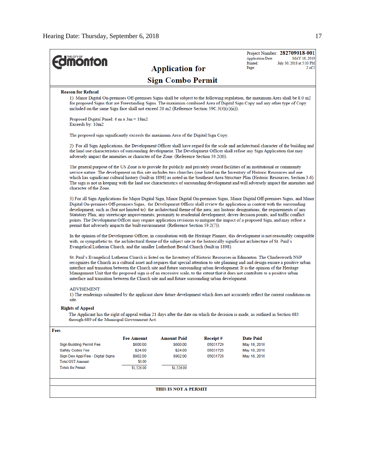| <b>Imonton</b>                                                                                                                                                                                                                                                                                                                                                                                                                                                                                                                                                                                                                                                                                                                                                    |                      |                          |          | <b>Application Date:</b><br>Printed: | Project Number: 282709018-001<br>MAY 18, 2018<br>July 30, 2018 at 5:03 PM |
|-------------------------------------------------------------------------------------------------------------------------------------------------------------------------------------------------------------------------------------------------------------------------------------------------------------------------------------------------------------------------------------------------------------------------------------------------------------------------------------------------------------------------------------------------------------------------------------------------------------------------------------------------------------------------------------------------------------------------------------------------------------------|----------------------|--------------------------|----------|--------------------------------------|---------------------------------------------------------------------------|
|                                                                                                                                                                                                                                                                                                                                                                                                                                                                                                                                                                                                                                                                                                                                                                   |                      | <b>Application for</b>   |          | Page:                                | $2$ of $2$                                                                |
|                                                                                                                                                                                                                                                                                                                                                                                                                                                                                                                                                                                                                                                                                                                                                                   |                      | <b>Sign Combo Permit</b> |          |                                      |                                                                           |
| <b>Reason for Refusal</b>                                                                                                                                                                                                                                                                                                                                                                                                                                                                                                                                                                                                                                                                                                                                         |                      |                          |          |                                      |                                                                           |
| 1) Minor Digital On-premises Off-premises Signs shall be subject to the following regulation, the maximum Area shall be 8.0 m2<br>for proposed Signs that are Freestanding Signs. The maximum combined Area of Digital Sign Copy and any other type of Copy<br>included on the same Sign face shall not exceed 20 m2 (Reference Section 59C.3(4)(c)(ii)).                                                                                                                                                                                                                                                                                                                                                                                                         |                      |                          |          |                                      |                                                                           |
| Proposed Digital Panel: $6 \text{ m} \times 3 \text{ m} = 18 \text{ m}$ 2<br>Exceeds by: 10m2                                                                                                                                                                                                                                                                                                                                                                                                                                                                                                                                                                                                                                                                     |                      |                          |          |                                      |                                                                           |
| The proposed sign significantly exceeds the maximum Area of the Digital Sign Copy.                                                                                                                                                                                                                                                                                                                                                                                                                                                                                                                                                                                                                                                                                |                      |                          |          |                                      |                                                                           |
| 2) For all Sign Applications, the Development Officer shall have regard for the scale and architectural character of the building and<br>the land use characteristics of surrounding development. The Development Officer shall refuse any Sign Application that may<br>adversely impact the amenities or character of the Zone. (Reference Section 59.2(6)).                                                                                                                                                                                                                                                                                                                                                                                                     |                      |                          |          |                                      |                                                                           |
| The general purpose of the US Zone is to provide for publicly and privately owned facilities of an institutional or community<br>service nature. The development on this site includes two churches (one listed on the Inventory of Historic Resources and one<br>which has significant cultural history (built in 1898) as noted in the Southeast Area Structure Plan (Historic Resources, Section 3.6).<br>The sign is not in keeping with the land use characteristics of surrounding development and will adversely impact the amenities and<br>character of the Zone.                                                                                                                                                                                        |                      |                          |          |                                      |                                                                           |
| 3) For all Sign Applications for Major Digital Sign, Minor Digital On-premises Signs, Minor Digital Off-premises Signs, and Minor<br>Digital On-premises Off-premises Signs, the Development Officer shall review the application in context with the surrounding<br>development, such as (but not limited to): the architectural theme of the area; any historic designations; the requirements of any<br>Statutory Plan; any streetscape improvements; proximity to residential development; driver decision points; and traffic conflict<br>points. The Development Officer may require application revisions to mitigate the impact of a proposed Sign, and may refuse a<br>permit that adversely impacts the built environment. (Reference Section 59.2(7)). |                      |                          |          |                                      |                                                                           |
| In the opinion of the Development Officer, in consultation with the Heritage Planner, this development is not reasonably compatible<br>with, or sympathetic to, the architectural theme of the subject site or the historically significant architecture of St. Paul's<br>Evangelical Lutheran Church, and the smaller Lutherhort Bestal Church (built in 1898).                                                                                                                                                                                                                                                                                                                                                                                                  |                      |                          |          |                                      |                                                                           |
| St. Paul's Evangelical Lutheran Church is listed on the Inventory of Historic Resources in Edmonton. The Charlesworth NSP<br>recognizes the Church as a cultural asset and requires that special attention to site planning and and design ensure a positive urban<br>interface and transition between the Church site and future surrounding urban development. It is the opinion of the Heritage<br>Management Unit that the proposed sign is of an excessive scale, to the extent that it does not contribute to a positive urban<br>interface and transition between the Church site and and future surrounding urban development.                                                                                                                            |                      |                          |          |                                      |                                                                           |
| <b>ADVISEMENT:</b><br>1) The renderings submitted by the applicant show future development which does not accurately reflect the current conditions on<br>site.                                                                                                                                                                                                                                                                                                                                                                                                                                                                                                                                                                                                   |                      |                          |          |                                      |                                                                           |
| <b>Rights of Appeal</b>                                                                                                                                                                                                                                                                                                                                                                                                                                                                                                                                                                                                                                                                                                                                           |                      |                          |          |                                      |                                                                           |
| The Applicant has the right of appeal within 21 days after the date on which the decision is made, as outlined in Section 683<br>through 689 of the Municipal Government Act.                                                                                                                                                                                                                                                                                                                                                                                                                                                                                                                                                                                     |                      |                          |          |                                      |                                                                           |
| Fees                                                                                                                                                                                                                                                                                                                                                                                                                                                                                                                                                                                                                                                                                                                                                              |                      |                          |          |                                      |                                                                           |
|                                                                                                                                                                                                                                                                                                                                                                                                                                                                                                                                                                                                                                                                                                                                                                   | <b>Fee Amount</b>    | <b>Amount Paid</b>       | Receipt# | <b>Date Paid</b>                     |                                                                           |
| <b>Sign Building Permit Fee</b>                                                                                                                                                                                                                                                                                                                                                                                                                                                                                                                                                                                                                                                                                                                                   | \$600.00             | \$600.00                 | 05031729 | May 18, 2018                         |                                                                           |
| Safety Codes Fee                                                                                                                                                                                                                                                                                                                                                                                                                                                                                                                                                                                                                                                                                                                                                  | \$24.00              | \$24.00                  | 05031729 | May 18, 2018                         |                                                                           |
| Sign Dev Appl Fee - Digital Signs<br><b>Total GST Amount:</b>                                                                                                                                                                                                                                                                                                                                                                                                                                                                                                                                                                                                                                                                                                     | \$902.00             | \$902.00                 | 05031729 | May 18, 2018                         |                                                                           |
| <b>Totals for Permit:</b>                                                                                                                                                                                                                                                                                                                                                                                                                                                                                                                                                                                                                                                                                                                                         | \$0.00<br>\$1,526.00 | \$1,526.00               |          |                                      |                                                                           |
|                                                                                                                                                                                                                                                                                                                                                                                                                                                                                                                                                                                                                                                                                                                                                                   |                      |                          |          |                                      |                                                                           |
|                                                                                                                                                                                                                                                                                                                                                                                                                                                                                                                                                                                                                                                                                                                                                                   |                      | THIS IS NOT A PERMIT     |          |                                      |                                                                           |
|                                                                                                                                                                                                                                                                                                                                                                                                                                                                                                                                                                                                                                                                                                                                                                   |                      |                          |          |                                      |                                                                           |